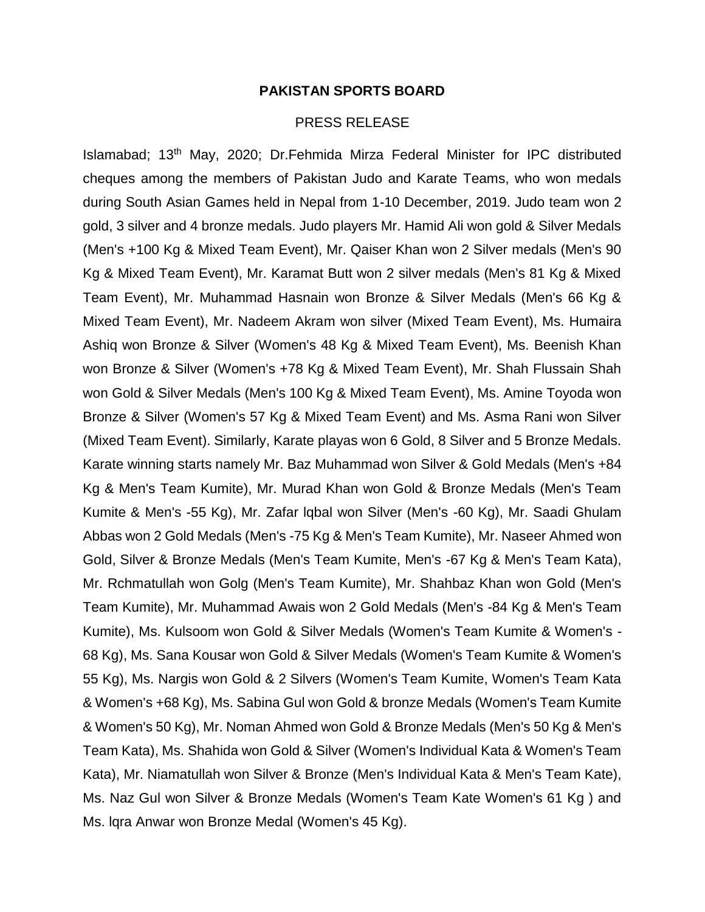## **PAKISTAN SPORTS BOARD**

## PRESS RELEASE

Islamabad; 13th May, 2020; Dr.Fehmida Mirza Federal Minister for IPC distributed cheques among the members of Pakistan Judo and Karate Teams, who won medals during South Asian Games held in Nepal from 1-10 December, 2019. Judo team won 2 gold, 3 silver and 4 bronze medals. Judo players Mr. Hamid Ali won gold & Silver Medals (Men's +100 Kg & Mixed Team Event), Mr. Qaiser Khan won 2 Silver medals (Men's 90 Kg & Mixed Team Event), Mr. Karamat Butt won 2 silver medals (Men's 81 Kg & Mixed Team Event), Mr. Muhammad Hasnain won Bronze & Silver Medals (Men's 66 Kg & Mixed Team Event), Mr. Nadeem Akram won silver (Mixed Team Event), Ms. Humaira Ashiq won Bronze & Silver (Women's 48 Kg & Mixed Team Event), Ms. Beenish Khan won Bronze & Silver (Women's +78 Kg & Mixed Team Event), Mr. Shah Flussain Shah won Gold & Silver Medals (Men's 100 Kg & Mixed Team Event), Ms. Amine Toyoda won Bronze & Silver (Women's 57 Kg & Mixed Team Event) and Ms. Asma Rani won Silver (Mixed Team Event). Similarly, Karate playas won 6 Gold, 8 Silver and 5 Bronze Medals. Karate winning starts namely Mr. Baz Muhammad won Silver & Gold Medals (Men's +84 Kg & Men's Team Kumite), Mr. Murad Khan won Gold & Bronze Medals (Men's Team Kumite & Men's -55 Kg), Mr. Zafar lqbal won Silver (Men's -60 Kg), Mr. Saadi Ghulam Abbas won 2 Gold Medals (Men's -75 Kg & Men's Team Kumite), Mr. Naseer Ahmed won Gold, Silver & Bronze Medals (Men's Team Kumite, Men's -67 Kg & Men's Team Kata), Mr. Rchmatullah won Golg (Men's Team Kumite), Mr. Shahbaz Khan won Gold (Men's Team Kumite), Mr. Muhammad Awais won 2 Gold Medals (Men's -84 Kg & Men's Team Kumite), Ms. Kulsoom won Gold & Silver Medals (Women's Team Kumite & Women's - 68 Kg), Ms. Sana Kousar won Gold & Silver Medals (Women's Team Kumite & Women's 55 Kg), Ms. Nargis won Gold & 2 Silvers (Women's Team Kumite, Women's Team Kata & Women's +68 Kg), Ms. Sabina Gul won Gold & bronze Medals (Women's Team Kumite & Women's 50 Kg), Mr. Noman Ahmed won Gold & Bronze Medals (Men's 50 Kg & Men's Team Kata), Ms. Shahida won Gold & Silver (Women's Individual Kata & Women's Team Kata), Mr. Niamatullah won Silver & Bronze (Men's Individual Kata & Men's Team Kate), Ms. Naz Gul won Silver & Bronze Medals (Women's Team Kate Women's 61 Kg ) and Ms. lqra Anwar won Bronze Medal (Women's 45 Kg).